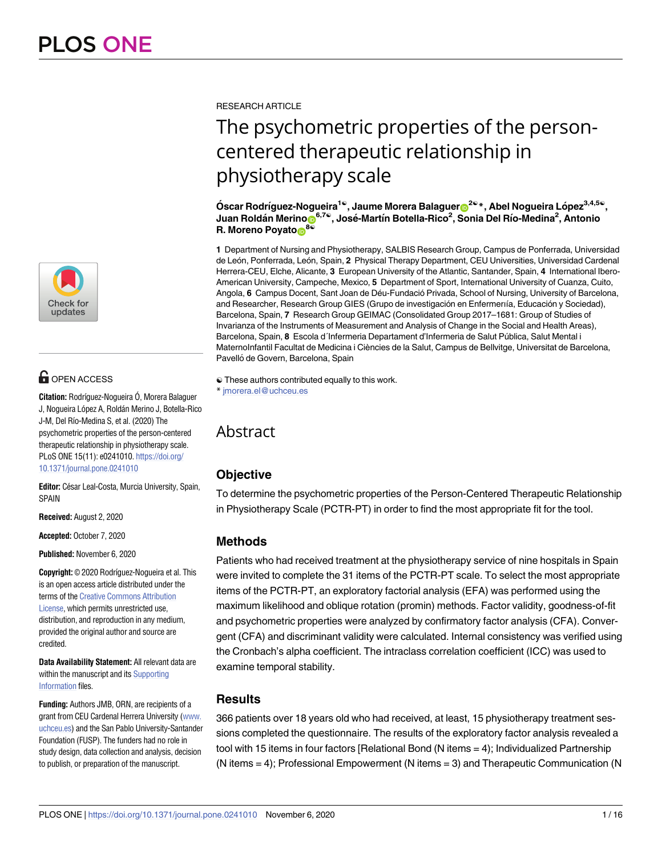

# **OPEN ACCESS**

**Citation:** Rodríguez-Nogueira Ó, Morera Balaguer J, Nogueira López A, Roldán Merino J, Botella-Rico J-M, Del Río-Medina S, et al. (2020) The psychometric properties of the person-centered therapeutic relationship in physiotherapy scale. PLoS ONE 15(11): e0241010. [https://doi.org/](https://doi.org/10.1371/journal.pone.0241010) [10.1371/journal.pone.0241010](https://doi.org/10.1371/journal.pone.0241010)

Editor: César Leal-Costa, Murcia University, Spain, SPAIN

**Received:** August 2, 2020

**Accepted:** October 7, 2020

**Published:** November 6, 2020

**Copyright:** © 2020 Rodrı´guez-Nogueira et al. This is an open access article distributed under the terms of the Creative [Commons](http://creativecommons.org/licenses/by/4.0/) Attribution [License,](http://creativecommons.org/licenses/by/4.0/) which permits unrestricted use, distribution, and reproduction in any medium, provided the original author and source are credited.

**Data Availability Statement:** All relevant data are within the manuscript and its [Supporting](#page-11-0) [Information](#page-11-0) files.

**Funding:** Authors JMB, ORN, are recipients of a grant from CEU Cardenal Herrera University [\(www.](http://www.uchceu.es) [uchceu.es\)](http://www.uchceu.es) and the San Pablo University-Santander Foundation (FUSP). The funders had no role in study design, data collection and analysis, decision to publish, or preparation of the manuscript.

RESEARCH ARTICLE

# The psychometric properties of the personcentered therapeutic relationship in physiotherapy scale

**O´ scar Rodrı´guez-Nogueira1**☯**, Jaume Morera Balague[rID2](https://orcid.org/0000-0001-8733-4406)**☯**\*, Abel Nogueira Lo´pez3,4,5**☯**,**  $J$ uan Roldán Merino $\bar{\mathbf{\Theta}}^{6,7}$ ®, José-Martín Botella-Rico<sup>2</sup>, Sonia Del Río-Medina<sup>2</sup>, Antonio **R.** Moreno Poyato<sup>8</sup><sup>®</sup>

**1** Department of Nursing and Physiotherapy, SALBIS Research Group, Campus de Ponferrada, Universidad de León, Ponferrada, León, Spain, 2 Physical Therapy Department, CEU Universities, Universidad Cardenal Herrera-CEU, Elche, Alicante, **3** European University of the Atlantic, Santander, Spain, **4** International Ibero-American University, Campeche, Mexico, **5** Department of Sport, International University of Cuanza, Cuito, Angola, 6 Campus Docent, Sant Joan de Déu-Fundació Privada, School of Nursing, University of Barcelona, and Researcher, Research Group GIES (Grupo de investigación en Enfermeriía, Educación y Sociedad), Barcelona, Spain, **7** Research Group GEIMAC (Consolidated Group 2017–1681: Group of Studies of Invarianza of the Instruments of Measurement and Analysis of Change in the Social and Health Areas), Barcelona, Spain, 8 Escola d'Infermeria Departament d'Infermeria de Salut Pública, Salut Mental i MaternoInfantil Facultat de Medicina i Ciències de la Salut, Campus de Bellvitge, Universitat de Barcelona, Pavelló de Govern, Barcelona, Spain

# Abstract

## **Objective**

To determine the psychometric properties of the Person-Centered Therapeutic Relationship in Physiotherapy Scale (PCTR-PT) in order to find the most appropriate fit for the tool.

## **Methods**

Patients who had received treatment at the physiotherapy service of nine hospitals in Spain were invited to complete the 31 items of the PCTR-PT scale. To select the most appropriate items of the PCTR-PT, an exploratory factorial analysis (EFA) was performed using the maximum likelihood and oblique rotation (promin) methods. Factor validity, goodness-of-fit and psychometric properties were analyzed by confirmatory factor analysis (CFA). Convergent (CFA) and discriminant validity were calculated. Internal consistency was verified using the Cronbach's alpha coefficient. The intraclass correlation coefficient (ICC) was used to examine temporal stability.

### **Results**

366 patients over 18 years old who had received, at least, 15 physiotherapy treatment sessions completed the questionnaire. The results of the exploratory factor analysis revealed a tool with 15 items in four factors [Relational Bond (N items = 4); Individualized Partnership (N items = 4); Professional Empowerment (N items = 3) and Therapeutic Communication (N

<sup>☯</sup> These authors contributed equally to this work. \* jmorera.el@uchceu.es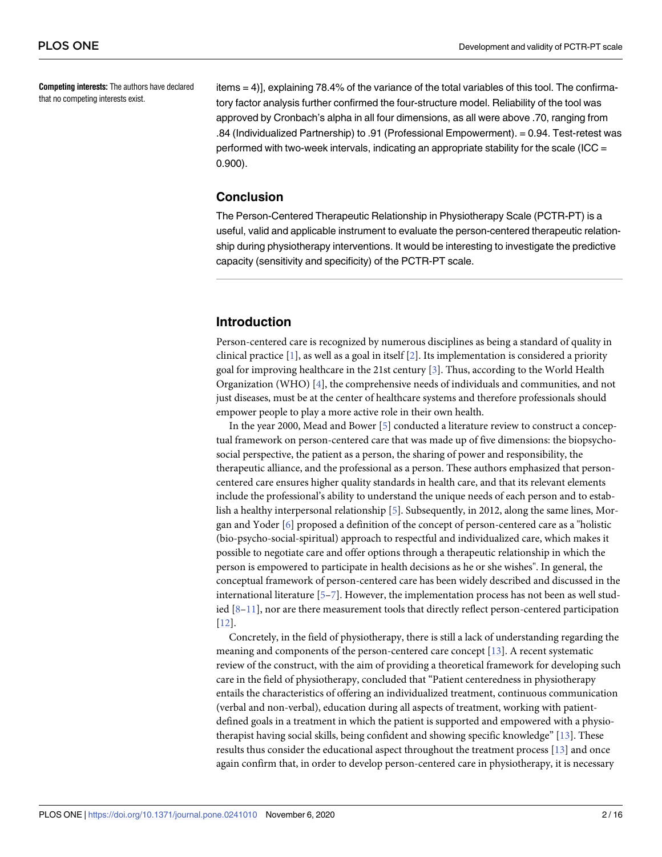<span id="page-1-0"></span>**Competing interests:** The authors have declared that no competing interests exist.

items = 4)], explaining 78.4% of the variance of the total variables of this tool. The confirmatory factor analysis further confirmed the four-structure model. Reliability of the tool was approved by Cronbach's alpha in all four dimensions, as all were above .70, ranging from .84 (Individualized Partnership) to .91 (Professional Empowerment). = 0.94. Test-retest was performed with two-week intervals, indicating an appropriate stability for the scale (ICC  $=$ 0.900).

#### **Conclusion**

The Person-Centered Therapeutic Relationship in Physiotherapy Scale (PCTR-PT) is a useful, valid and applicable instrument to evaluate the person-centered therapeutic relationship during physiotherapy interventions. It would be interesting to investigate the predictive capacity (sensitivity and specificity) of the PCTR-PT scale.

#### **Introduction**

Person-centered care is recognized by numerous disciplines as being a standard of quality in clinical practice [[1\]](#page-12-0), as well as a goal in itself [\[2\]](#page-12-0). Its implementation is considered a priority goal for improving healthcare in the 21st century [[3](#page-12-0)]. Thus, according to the World Health Organization (WHO) [\[4](#page-12-0)], the comprehensive needs of individuals and communities, and not just diseases, must be at the center of healthcare systems and therefore professionals should empower people to play a more active role in their own health.

In the year 2000, Mead and Bower [[5\]](#page-12-0) conducted a literature review to construct a conceptual framework on person-centered care that was made up of five dimensions: the biopsychosocial perspective, the patient as a person, the sharing of power and responsibility, the therapeutic alliance, and the professional as a person. These authors emphasized that personcentered care ensures higher quality standards in health care, and that its relevant elements include the professional's ability to understand the unique needs of each person and to establish a healthy interpersonal relationship [[5](#page-12-0)]. Subsequently, in 2012, along the same lines, Morgan and Yoder [\[6\]](#page-12-0) proposed a definition of the concept of person-centered care as a "holistic (bio-psycho-social-spiritual) approach to respectful and individualized care, which makes it possible to negotiate care and offer options through a therapeutic relationship in which the person is empowered to participate in health decisions as he or she wishes". In general, the conceptual framework of person-centered care has been widely described and discussed in the international literature  $[5-7]$ . However, the implementation process has not been as well studied [[8–](#page-12-0)[11](#page-13-0)], nor are there measurement tools that directly reflect person-centered participation [\[12\]](#page-13-0).

Concretely, in the field of physiotherapy, there is still a lack of understanding regarding the meaning and components of the person-centered care concept [\[13\]](#page-13-0). A recent systematic review of the construct, with the aim of providing a theoretical framework for developing such care in the field of physiotherapy, concluded that "Patient centeredness in physiotherapy entails the characteristics of offering an individualized treatment, continuous communication (verbal and non-verbal), education during all aspects of treatment, working with patientdefined goals in a treatment in which the patient is supported and empowered with a physiotherapist having social skills, being confident and showing specific knowledge" [[13](#page-13-0)]. These results thus consider the educational aspect throughout the treatment process [\[13\]](#page-13-0) and once again confirm that, in order to develop person-centered care in physiotherapy, it is necessary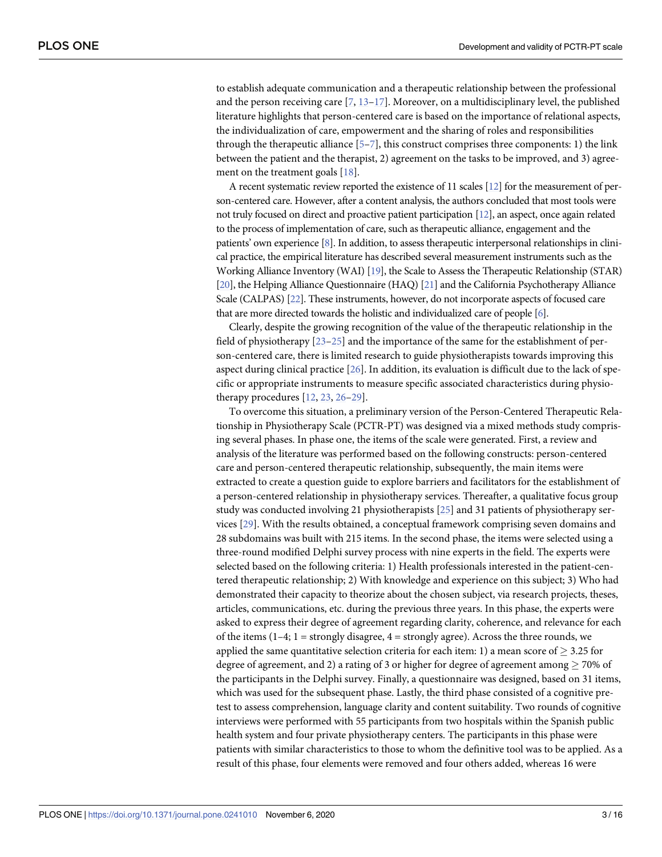<span id="page-2-0"></span>to establish adequate communication and a therapeutic relationship between the professional and the person receiving care  $[7, 13-17]$  $[7, 13-17]$ . Moreover, on a multidisciplinary level, the published literature highlights that person-centered care is based on the importance of relational aspects, the individualization of care, empowerment and the sharing of roles and responsibilities through the therapeutic alliance  $[5-7]$ , this construct comprises three components: 1) the link between the patient and the therapist, 2) agreement on the tasks to be improved, and 3) agreement on the treatment goals [[18](#page-13-0)].

A recent systematic review reported the existence of 11 scales [\[12](#page-13-0)] for the measurement of person-centered care. However, after a content analysis, the authors concluded that most tools were not truly focused on direct and proactive patient participation [\[12](#page-13-0)], an aspect, once again related to the process of implementation of care, such as therapeutic alliance, engagement and the patients' own experience [\[8](#page-12-0)]. In addition, to assess therapeutic interpersonal relationships in clinical practice, the empirical literature has described several measurement instruments such as the Working Alliance Inventory (WAI) [\[19](#page-13-0)], the Scale to Assess the Therapeutic Relationship (STAR) [\[20](#page-13-0)], the Helping Alliance Questionnaire (HAQ) [\[21\]](#page-13-0) and the California Psychotherapy Alliance Scale (CALPAS) [[22\]](#page-13-0). These instruments, however, do not incorporate aspects of focused care that are more directed towards the holistic and individualized care of people [[6](#page-12-0)].

Clearly, despite the growing recognition of the value of the therapeutic relationship in the field of physiotherapy [\[23–25](#page-13-0)] and the importance of the same for the establishment of person-centered care, there is limited research to guide physiotherapists towards improving this aspect during clinical practice [\[26\]](#page-13-0). In addition, its evaluation is difficult due to the lack of specific or appropriate instruments to measure specific associated characteristics during physiotherapy procedures [[12](#page-13-0), [23](#page-13-0), [26–29\]](#page-13-0).

To overcome this situation, a preliminary version of the Person-Centered Therapeutic Relationship in Physiotherapy Scale (PCTR-PT) was designed via a mixed methods study comprising several phases. In phase one, the items of the scale were generated. First, a review and analysis of the literature was performed based on the following constructs: person-centered care and person-centered therapeutic relationship, subsequently, the main items were extracted to create a question guide to explore barriers and facilitators for the establishment of a person-centered relationship in physiotherapy services. Thereafter, a qualitative focus group study was conducted involving 21 physiotherapists [\[25\]](#page-13-0) and 31 patients of physiotherapy services [[29](#page-13-0)]. With the results obtained, a conceptual framework comprising seven domains and 28 subdomains was built with 215 items. In the second phase, the items were selected using a three-round modified Delphi survey process with nine experts in the field. The experts were selected based on the following criteria: 1) Health professionals interested in the patient-centered therapeutic relationship; 2) With knowledge and experience on this subject; 3) Who had demonstrated their capacity to theorize about the chosen subject, via research projects, theses, articles, communications, etc. during the previous three years. In this phase, the experts were asked to express their degree of agreement regarding clarity, coherence, and relevance for each of the items  $(1-4; 1 =$  strongly disagree,  $4 =$  strongly agree). Across the three rounds, we applied the same quantitative selection criteria for each item: 1) a mean score of  $> 3.25$  for degree of agreement, and 2) a rating of 3 or higher for degree of agreement among  $\geq$  70% of the participants in the Delphi survey. Finally, a questionnaire was designed, based on 31 items, which was used for the subsequent phase. Lastly, the third phase consisted of a cognitive pretest to assess comprehension, language clarity and content suitability. Two rounds of cognitive interviews were performed with 55 participants from two hospitals within the Spanish public health system and four private physiotherapy centers. The participants in this phase were patients with similar characteristics to those to whom the definitive tool was to be applied. As a result of this phase, four elements were removed and four others added, whereas 16 were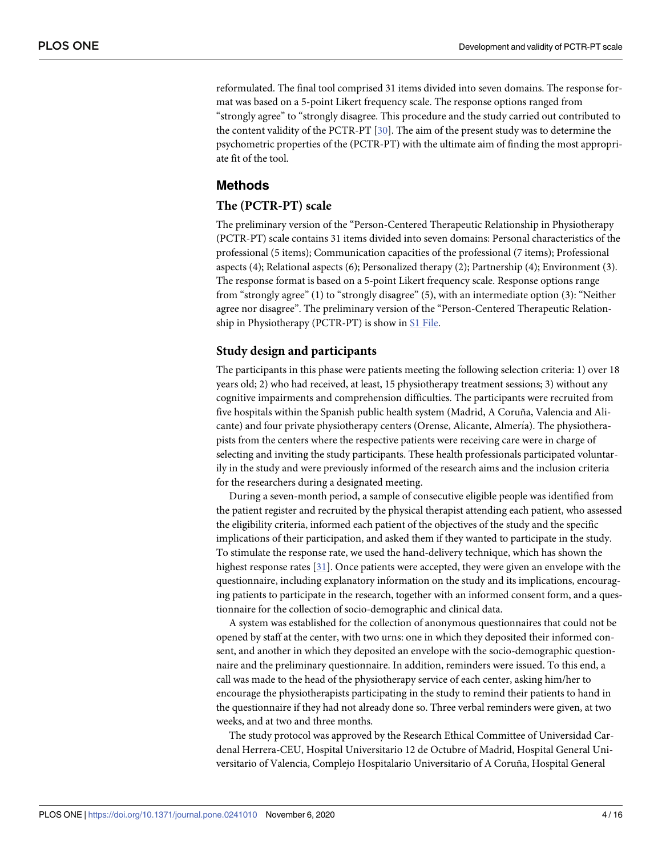<span id="page-3-0"></span>reformulated. The final tool comprised 31 items divided into seven domains. The response format was based on a 5-point Likert frequency scale. The response options ranged from "strongly agree" to "strongly disagree. This procedure and the study carried out contributed to the content validity of the PCTR-PT [\[30\]](#page-14-0). The aim of the present study was to determine the psychometric properties of the (PCTR-PT) with the ultimate aim of finding the most appropriate fit of the tool.

#### **Methods**

#### **The (PCTR-PT) scale**

The preliminary version of the "Person-Centered Therapeutic Relationship in Physiotherapy (PCTR-PT) scale contains 31 items divided into seven domains: Personal characteristics of the professional (5 items); Communication capacities of the professional (7 items); Professional aspects (4); Relational aspects (6); Personalized therapy (2); Partnership (4); Environment (3). The response format is based on a 5-point Likert frequency scale. Response options range from "strongly agree" (1) to "strongly disagree" (5), with an intermediate option (3): "Neither agree nor disagree". The preliminary version of the "Person-Centered Therapeutic Relationship in Physiotherapy (PCTR-PT) is show in S1 [File](#page-11-0).

#### **Study design and participants**

The participants in this phase were patients meeting the following selection criteria: 1) over 18 years old; 2) who had received, at least, 15 physiotherapy treatment sessions; 3) without any cognitive impairments and comprehension difficulties. The participants were recruited from five hospitals within the Spanish public health system (Madrid, A Coruña, Valencia and Alicante) and four private physiotherapy centers (Orense, Alicante, Almería). The physiotherapists from the centers where the respective patients were receiving care were in charge of selecting and inviting the study participants. These health professionals participated voluntarily in the study and were previously informed of the research aims and the inclusion criteria for the researchers during a designated meeting.

During a seven-month period, a sample of consecutive eligible people was identified from the patient register and recruited by the physical therapist attending each patient, who assessed the eligibility criteria, informed each patient of the objectives of the study and the specific implications of their participation, and asked them if they wanted to participate in the study. To stimulate the response rate, we used the hand-delivery technique, which has shown the highest response rates [[31](#page-14-0)]. Once patients were accepted, they were given an envelope with the questionnaire, including explanatory information on the study and its implications, encouraging patients to participate in the research, together with an informed consent form, and a questionnaire for the collection of socio-demographic and clinical data.

A system was established for the collection of anonymous questionnaires that could not be opened by staff at the center, with two urns: one in which they deposited their informed consent, and another in which they deposited an envelope with the socio-demographic questionnaire and the preliminary questionnaire. In addition, reminders were issued. To this end, a call was made to the head of the physiotherapy service of each center, asking him/her to encourage the physiotherapists participating in the study to remind their patients to hand in the questionnaire if they had not already done so. Three verbal reminders were given, at two weeks, and at two and three months.

The study protocol was approved by the Research Ethical Committee of Universidad Cardenal Herrera-CEU, Hospital Universitario 12 de Octubre of Madrid, Hospital General Universitario of Valencia, Complejo Hospitalario Universitario of A Coruña, Hospital General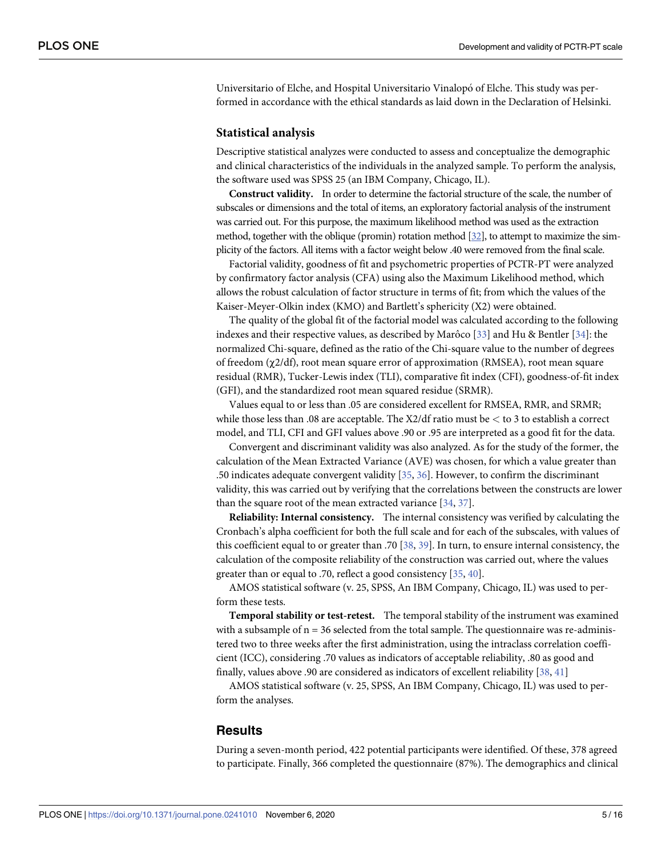<span id="page-4-0"></span>Universitario of Elche, and Hospital Universitario Vinalopó of Elche. This study was performed in accordance with the ethical standards as laid down in the Declaration of Helsinki.

#### **Statistical analysis**

Descriptive statistical analyzes were conducted to assess and conceptualize the demographic and clinical characteristics of the individuals in the analyzed sample. To perform the analysis, the software used was SPSS 25 (an IBM Company, Chicago, IL).

**Construct validity.** In order to determine the factorial structure of the scale, the number of subscales or dimensions and the total of items, an exploratory factorial analysis of the instrument was carried out. For this purpose, the maximum likelihood method was used as the extraction method, together with the oblique (promin) rotation method [\[32](#page-14-0)], to attempt to maximize the simplicity of the factors. All items with a factor weight below .40 were removed from the final scale.

Factorial validity, goodness of fit and psychometric properties of PCTR-PT were analyzed by confirmatory factor analysis (CFA) using also the Maximum Likelihood method, which allows the robust calculation of factor structure in terms of fit; from which the values of the Kaiser-Meyer-Olkin index (KMO) and Bartlett's sphericity (X2) were obtained.

The quality of the global fit of the factorial model was calculated according to the following indexes and their respective values, as described by Marôco [[33](#page-14-0)] and Hu & Bentler [\[34\]](#page-14-0): the normalized Chi-square, defined as the ratio of the Chi-square value to the number of degrees of freedom (χ2/df), root mean square error of approximation (RMSEA), root mean square residual (RMR), Tucker-Lewis index (TLI), comparative fit index (CFI), goodness-of-fit index (GFI), and the standardized root mean squared residue (SRMR).

Values equal to or less than .05 are considered excellent for RMSEA, RMR, and SRMR; while those less than .08 are acceptable. The X2/df ratio must be *<* to 3 to establish a correct model, and TLI, CFI and GFI values above .90 or .95 are interpreted as a good fit for the data.

Convergent and discriminant validity was also analyzed. As for the study of the former, the calculation of the Mean Extracted Variance (AVE) was chosen, for which a value greater than .50 indicates adequate convergent validity [[35](#page-14-0), [36](#page-14-0)]. However, to confirm the discriminant validity, this was carried out by verifying that the correlations between the constructs are lower than the square root of the mean extracted variance  $[34, 37]$  $[34, 37]$  $[34, 37]$  $[34, 37]$  $[34, 37]$ .

**Reliability: Internal consistency.** The internal consistency was verified by calculating the Cronbach's alpha coefficient for both the full scale and for each of the subscales, with values of this coefficient equal to or greater than .70 [\[38,](#page-14-0) [39\]](#page-14-0). In turn, to ensure internal consistency, the calculation of the composite reliability of the construction was carried out, where the values greater than or equal to .70, reflect a good consistency [[35](#page-14-0), [40](#page-14-0)].

AMOS statistical software (v. 25, SPSS, An IBM Company, Chicago, IL) was used to perform these tests.

**Temporal stability or test-retest.** The temporal stability of the instrument was examined with a subsample of  $n = 36$  selected from the total sample. The questionnaire was re-administered two to three weeks after the first administration, using the intraclass correlation coefficient (ICC), considering .70 values as indicators of acceptable reliability, .80 as good and finally, values above .90 are considered as indicators of excellent reliability [\[38,](#page-14-0) [41\]](#page-14-0)

AMOS statistical software (v. 25, SPSS, An IBM Company, Chicago, IL) was used to perform the analyses.

#### **Results**

During a seven-month period, 422 potential participants were identified. Of these, 378 agreed to participate. Finally, 366 completed the questionnaire (87%). The demographics and clinical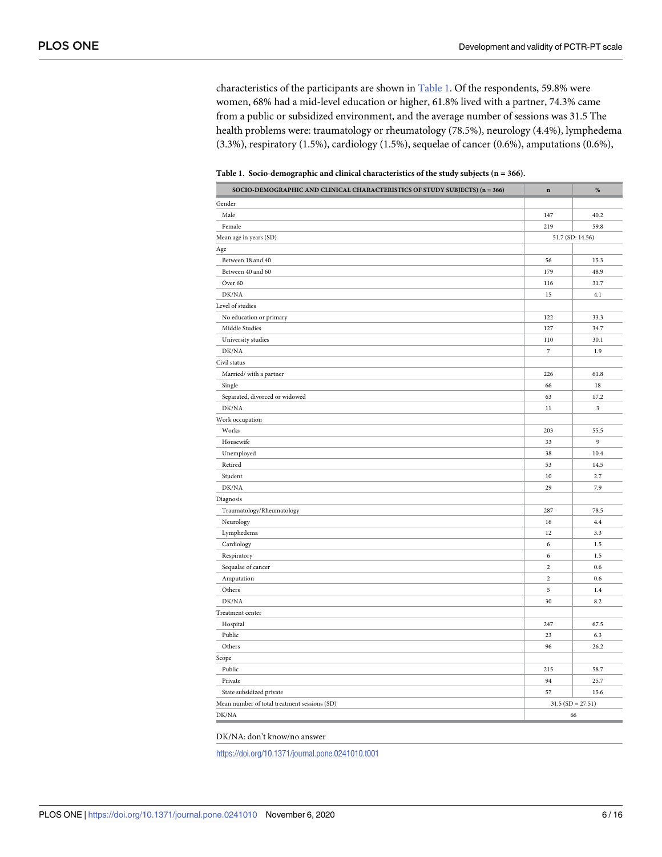characteristics of the participants are shown in Table 1. Of the respondents, 59.8% were women, 68% had a mid-level education or higher, 61.8% lived with a partner, 74.3% came from a public or subsidized environment, and the average number of sessions was 31.5 The health problems were: traumatology or rheumatology (78.5%), neurology (4.4%), lymphedema (3.3%), respiratory (1.5%), cardiology (1.5%), sequelae of cancer (0.6%), amputations (0.6%),

**Table 1. Socio-demographic and clinical characteristics of the study subjects (n = 366).**

| SOCIO-DEMOGRAPHIC AND CLINICAL CHARACTERISTICS OF STUDY SUBJECTS) (n = 366) | $\bf n$          | $\%$               |  |
|-----------------------------------------------------------------------------|------------------|--------------------|--|
| Gender                                                                      |                  |                    |  |
| Male                                                                        | 147              | 40.2               |  |
| Female                                                                      | 219              | 59.8               |  |
| Mean age in years (SD)                                                      | 51.7 (SD: 14.56) |                    |  |
| Age                                                                         |                  |                    |  |
| Between 18 and 40                                                           | 56               | 15.3               |  |
| Between 40 and 60                                                           | 179              | 48.9               |  |
| Over 60                                                                     | 116              | 31.7               |  |
| DK/NA                                                                       | 15               | 4.1                |  |
| Level of studies                                                            |                  |                    |  |
| No education or primary                                                     | 122              | 33.3               |  |
| Middle Studies                                                              | 127              | 34.7               |  |
| University studies                                                          | 110              | 30.1               |  |
| DK/NA                                                                       | $\overline{7}$   | 1.9                |  |
| Civil status                                                                |                  |                    |  |
| Married/ with a partner                                                     | 226              | 61.8               |  |
| Single                                                                      | 66               | $18\,$             |  |
| Separated, divorced or widowed                                              | 63               | 17.2               |  |
| DK/NA                                                                       | 11               | 3                  |  |
| Work occupation                                                             |                  |                    |  |
| Works                                                                       | 203              | 55.5               |  |
| Housewife                                                                   | 33               | 9                  |  |
| Unemployed                                                                  | 38               | 10.4               |  |
| Retired                                                                     | 53               | 14.5               |  |
| Student                                                                     | $10\,$           | 2.7                |  |
| DK/NA                                                                       | 29               | 7.9                |  |
| Diagnosis                                                                   |                  |                    |  |
| Traumatology/Rheumatology                                                   | 287              | 78.5               |  |
| Neurology                                                                   | 16               | 4.4                |  |
| Lymphedema                                                                  | 12               | 3.3                |  |
| Cardiology                                                                  | 6                | 1.5                |  |
| Respiratory                                                                 | 6                | 1.5                |  |
| Sequalae of cancer                                                          | $\overline{c}$   | 0.6                |  |
| Amputation                                                                  | $\,2$            | 0.6                |  |
| Others                                                                      | 5                | 1.4                |  |
| DK/NA                                                                       | 30               | 8.2                |  |
| Treatment center                                                            |                  |                    |  |
| Hospital                                                                    | 247              | 67.5               |  |
| Public                                                                      | 23               | 6.3                |  |
| Others                                                                      | 96               | 26.2               |  |
| Scope                                                                       |                  |                    |  |
| Public                                                                      | 215              | 58.7               |  |
| Private                                                                     | 94               | 25.7               |  |
| State subsidized private                                                    | 57               | 15.6               |  |
| Mean number of total treatment sessions (SD)                                |                  | $31.5(SD = 27.51)$ |  |
| DK/NA                                                                       |                  | 66                 |  |
|                                                                             |                  |                    |  |

DK/NA: don't know/no answer

<https://doi.org/10.1371/journal.pone.0241010.t001>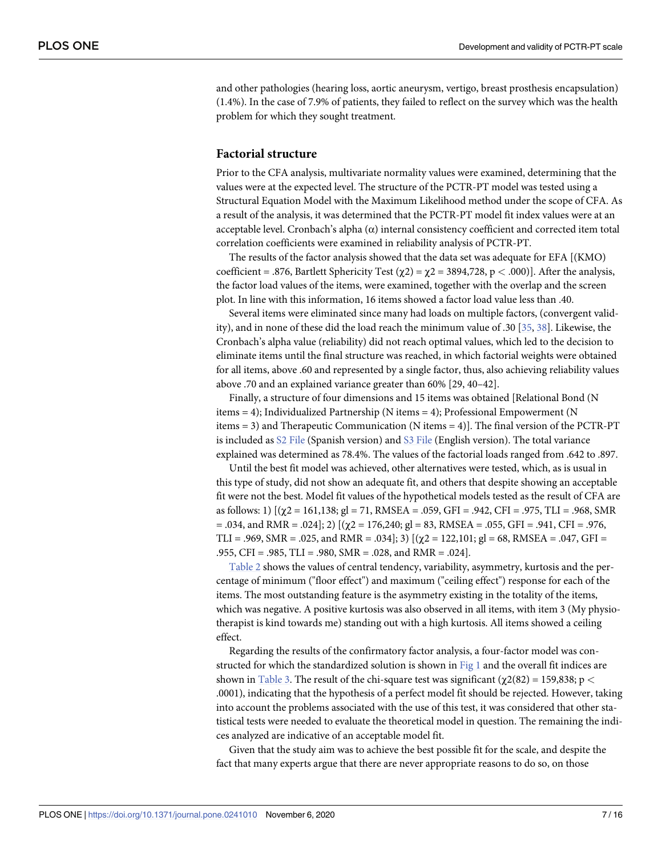<span id="page-6-0"></span>and other pathologies (hearing loss, aortic aneurysm, vertigo, breast prosthesis encapsulation) (1.4%). In the case of 7.9% of patients, they failed to reflect on the survey which was the health problem for which they sought treatment.

#### **Factorial structure**

Prior to the CFA analysis, multivariate normality values were examined, determining that the values were at the expected level. The structure of the PCTR-PT model was tested using a Structural Equation Model with the Maximum Likelihood method under the scope of CFA. As a result of the analysis, it was determined that the PCTR-PT model fit index values were at an acceptable level. Cronbach's alpha  $(\alpha)$  internal consistency coefficient and corrected item total correlation coefficients were examined in reliability analysis of PCTR-PT.

The results of the factor analysis showed that the data set was adequate for EFA [(KMO) coefficient = .876, Bartlett Sphericity Test (χ2) = χ2 = 3894,728, p *<* .000)]. After the analysis, the factor load values of the items, were examined, together with the overlap and the screen plot. In line with this information, 16 items showed a factor load value less than .40.

Several items were eliminated since many had loads on multiple factors, (convergent validity), and in none of these did the load reach the minimum value of .30 [[35,](#page-14-0) [38\]](#page-14-0). Likewise, the Cronbach's alpha value (reliability) did not reach optimal values, which led to the decision to eliminate items until the final structure was reached, in which factorial weights were obtained for all items, above .60 and represented by a single factor, thus, also achieving reliability values above .70 and an explained variance greater than 60% [29, 40–42].

Finally, a structure of four dimensions and 15 items was obtained [Relational Bond (N items = 4); Individualized Partnership (N items = 4); Professional Empowerment (N items = 3) and Therapeutic Communication (N items = 4)]. The final version of the PCTR-PT is included as S2 [File](#page-12-0) (Spanish version) and S3 File (English version). The total variance explained was determined as 78.4%. The values of the factorial loads ranged from .642 to .897.

Until the best fit model was achieved, other alternatives were tested, which, as is usual in this type of study, did not show an adequate fit, and others that despite showing an acceptable fit were not the best. Model fit values of the hypothetical models tested as the result of CFA are as follows: 1)  $[(\chi^2 = 161, 138; g] = 71, RMSEA = .059, GFI = .942, CFI = .975, TLI = .968, SMR$  $= .034$ , and RMR = .024]; 2)  $[(\gamma 2 = 176,240; \text{ gl} = 83, \text{RMSEA} = .055, \text{GFI} = .941, \text{CFI} = .976,$ TLI = .969, SMR = .025, and RMR = .034]; 3)  $[(\chi2 = 122, 101; g] = 68, RMSEA = .047, GFI =$ .955, CFI = .985, TLI = .980, SMR = .028, and RMR = .024].

[Table](#page-7-0) 2 shows the values of central tendency, variability, asymmetry, kurtosis and the percentage of minimum ("floor effect") and maximum ("ceiling effect") response for each of the items. The most outstanding feature is the asymmetry existing in the totality of the items, which was negative. A positive kurtosis was also observed in all items, with item 3 (My physiotherapist is kind towards me) standing out with a high kurtosis. All items showed a ceiling effect.

Regarding the results of the confirmatory factor analysis, a four-factor model was constructed for which the standardized solution is shown in [Fig](#page-8-0) 1 and the overall fit indices are shown in [Table](#page-8-0) 3. The result of the chi-square test was significant (χ2(82) = 159,838; p *<* .0001), indicating that the hypothesis of a perfect model fit should be rejected. However, taking into account the problems associated with the use of this test, it was considered that other statistical tests were needed to evaluate the theoretical model in question. The remaining the indices analyzed are indicative of an acceptable model fit.

Given that the study aim was to achieve the best possible fit for the scale, and despite the fact that many experts argue that there are never appropriate reasons to do so, on those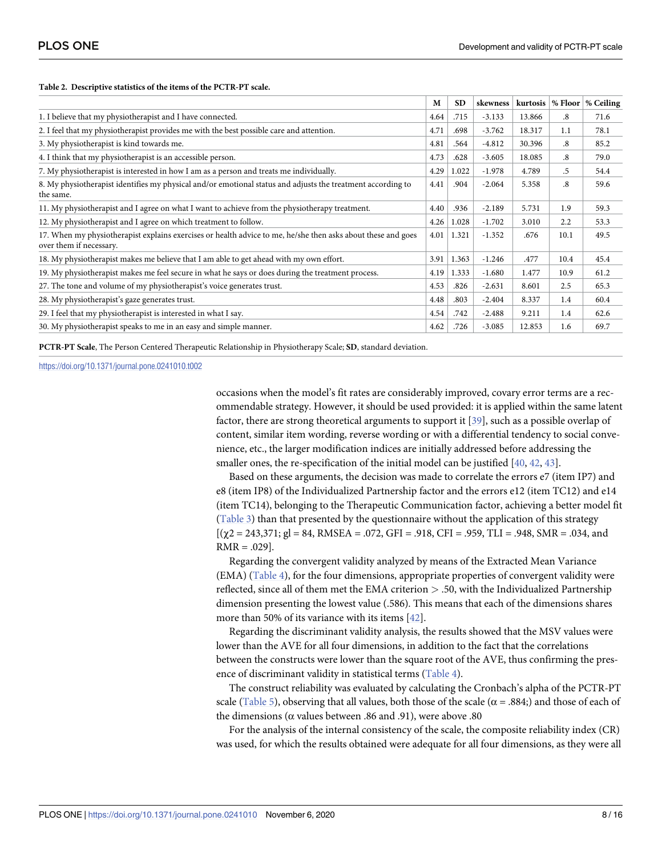<span id="page-7-0"></span>**[Table](#page-6-0) 2. Descriptive statistics of the items of the PCTR-PT scale.**

|                                                                                                                                         | M    | <b>SD</b> | skewness | kurtosis |                        | % Floor   % Ceiling |
|-----------------------------------------------------------------------------------------------------------------------------------------|------|-----------|----------|----------|------------------------|---------------------|
| 1. I believe that my physiotherapist and I have connected.                                                                              | 4.64 | .715      | $-3.133$ | 13.866   | $\boldsymbol{.8}$      | 71.6                |
| 2. I feel that my physiotherapist provides me with the best possible care and attention.                                                | 4.71 | .698      | $-3.762$ | 18.317   | 1.1                    | 78.1                |
| 3. My physiotherapist is kind towards me.                                                                                               | 4.81 | .564      | $-4.812$ | 30.396   | .8                     | 85.2                |
| 4. I think that my physiotherapist is an accessible person.                                                                             | 4.73 | .628      | $-3.605$ | 18.085   | $\cdot$ <sup>8</sup> . | 79.0                |
| 7. My physiotherapist is interested in how I am as a person and treats me individually.                                                 | 4.29 | 1.022     | $-1.978$ | 4.789    | .5                     | 54.4                |
| 8. My physiotherapist identifies my physical and/or emotional status and adjusts the treatment according to<br>the same.                | 4.41 | .904      | $-2.064$ | 5.358    | .8                     | 59.6                |
| 11. My physiotherapist and I agree on what I want to achieve from the physiotherapy treatment.                                          | 4.40 | .936      | $-2.189$ | 5.731    | 1.9                    | 59.3                |
| 12. My physiotherapist and I agree on which treatment to follow.                                                                        | 4.26 | 1.028     | $-1.702$ | 3.010    | 2.2                    | 53.3                |
| 17. When my physiotherapist explains exercises or health advice to me, he/she then asks about these and goes<br>over them if necessary. | 4.01 | 1.321     | $-1.352$ | .676     | 10.1                   | 49.5                |
| 18. My physiotherapist makes me believe that I am able to get ahead with my own effort.                                                 | 3.91 | 1.363     | $-1.246$ | .477     | 10.4                   | 45.4                |
| 19. My physiotherapist makes me feel secure in what he says or does during the treatment process.                                       | 4.19 | 1.333     | $-1.680$ | 1.477    | 10.9                   | 61.2                |
| 27. The tone and volume of my physiotherapist's voice generates trust.                                                                  | 4.53 | .826      | $-2.631$ | 8.601    | 2.5                    | 65.3                |
| 28. My physiotherapist's gaze generates trust.                                                                                          | 4.48 | .803      | $-2.404$ | 8.337    | 1.4                    | 60.4                |
| 29. I feel that my physiotherapist is interested in what I say.                                                                         | 4.54 | .742      | $-2.488$ | 9.211    | 1.4                    | 62.6                |
| 30. My physiotherapist speaks to me in an easy and simple manner.                                                                       | 4.62 | .726      | $-3.085$ | 12.853   | 1.6                    | 69.7                |

**PCTR-PT Scale**, The Person Centered Therapeutic Relationship in Physiotherapy Scale; **SD**, standard deviation.

<https://doi.org/10.1371/journal.pone.0241010.t002>

occasions when the model's fit rates are considerably improved, covary error terms are a recommendable strategy. However, it should be used provided: it is applied within the same latent factor, there are strong theoretical arguments to support it [\[39\]](#page-14-0), such as a possible overlap of content, similar item wording, reverse wording or with a differential tendency to social convenience, etc., the larger modification indices are initially addressed before addressing the smaller ones, the re-specification of the initial model can be justified [\[40,](#page-14-0) [42](#page-14-0), [43](#page-14-0)].

Based on these arguments, the decision was made to correlate the errors e7 (item IP7) and e8 (item IP8) of the Individualized Partnership factor and the errors e12 (item TC12) and e14 (item TC14), belonging to the Therapeutic Communication factor, achieving a better model fit [\(Table](#page-8-0) 3) than that presented by the questionnaire without the application of this strategy  $[(\gamma 2 = 243,371; \text{ gl} = 84, \text{RMSEA} = .072, \text{GFI} = .918, \text{CFI} = .959, \text{TLI} = .948, \text{SMR} = .034, \text{and}$  $RMR = .029$ ].

Regarding the convergent validity analyzed by means of the Extracted Mean Variance (EMA) ([Table](#page-9-0) 4), for the four dimensions, appropriate properties of convergent validity were reflected, since all of them met the EMA criterion *>* .50, with the Individualized Partnership dimension presenting the lowest value (.586). This means that each of the dimensions shares more than 50% of its variance with its items [\[42\]](#page-14-0).

Regarding the discriminant validity analysis, the results showed that the MSV values were lower than the AVE for all four dimensions, in addition to the fact that the correlations between the constructs were lower than the square root of the AVE, thus confirming the presence of discriminant validity in statistical terms ([Table](#page-9-0) 4).

The construct reliability was evaluated by calculating the Cronbach's alpha of the PCTR-PT scale ([Table](#page-9-0) 5), observing that all values, both those of the scale ( $\alpha$  = .884;) and those of each of the dimensions (α values between .86 and .91), were above .80

For the analysis of the internal consistency of the scale, the composite reliability index (CR) was used, for which the results obtained were adequate for all four dimensions, as they were all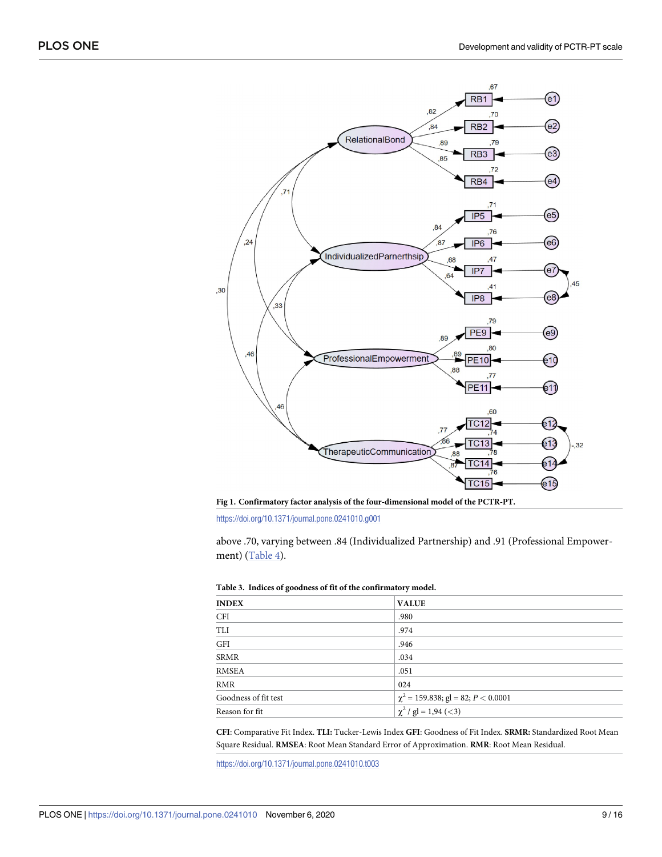<span id="page-8-0"></span>

**[Fig](#page-6-0) 1. Confirmatory factor analysis of the four-dimensional model of the PCTR-PT.**

above .70, varying between .84 (Individualized Partnership) and .91 (Professional Empowerment) ([Table](#page-9-0) 4).

| <b>INDEX</b>         | <b>VALUE</b>                            |
|----------------------|-----------------------------------------|
| <b>CFI</b>           | .980                                    |
| TLI                  | .974                                    |
| GFI                  | .946                                    |
| SRMR                 | .034                                    |
| RMSEA                | .051                                    |
| RMR                  | 024                                     |
| Goodness of fit test | $\chi^2$ = 159.838; gl = 82; P < 0.0001 |
| Reason for fit       | $\chi^2$ / gl = 1,94 (<3)               |

|  |  |  |  |  | Table 3. Indices of goodness of fit of the confirmatory model. |  |
|--|--|--|--|--|----------------------------------------------------------------|--|
|--|--|--|--|--|----------------------------------------------------------------|--|

**CFI**: Comparative Fit Index. **TLI:** Tucker-Lewis Index **GFI**: Goodness of Fit Index. **SRMR:** Standardized Root Mean Square Residual. **RMSEA**: Root Mean Standard Error of Approximation. **RMR**: Root Mean Residual.

<https://doi.org/10.1371/journal.pone.0241010.t003>

<https://doi.org/10.1371/journal.pone.0241010.g001>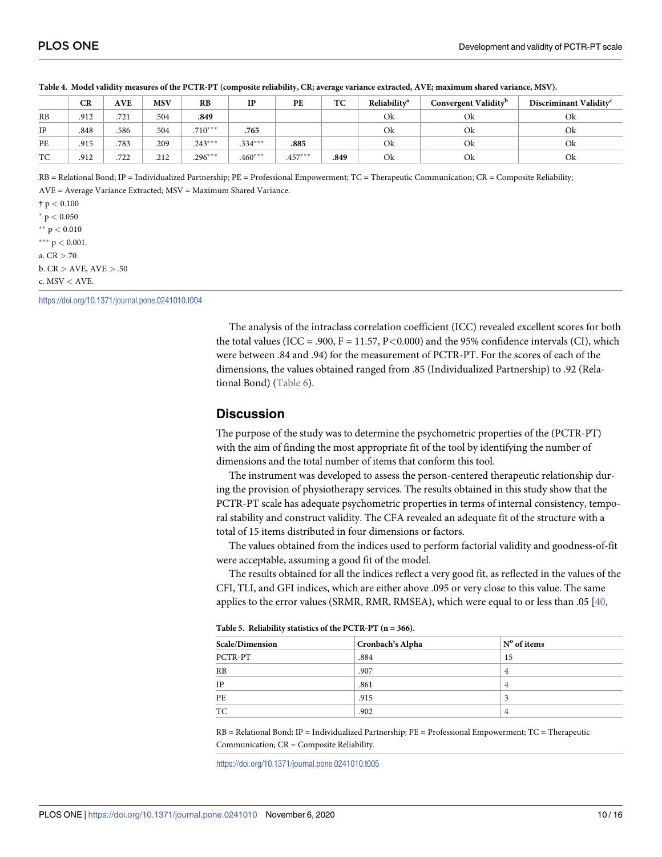|    | Convergent Validity <sup>b</sup><br>Reliabilitv <sup>a</sup><br>TC<br><b>MSV</b><br>CR<br>PE<br><b>AVE</b><br>RB<br>$_{\rm IP}$ |      |      |           |           |           |      | Discriminant Validity <sup>c</sup> |    |    |
|----|---------------------------------------------------------------------------------------------------------------------------------|------|------|-----------|-----------|-----------|------|------------------------------------|----|----|
|    |                                                                                                                                 |      |      |           |           |           |      |                                    |    |    |
| RB | .912                                                                                                                            | .721 | .504 | .849      |           |           |      | Ok                                 | Ok | Ok |
| IP | .848                                                                                                                            | .586 | .504 | $.710***$ | .765      |           |      | Ok                                 | Ok | Ok |
| PE | .915                                                                                                                            | .783 | .209 | $.243***$ | $.334***$ | .885      |      | Ok                                 | Ok | Ok |
| TC | .912                                                                                                                            | .722 | .212 | $.296***$ | $.460***$ | $.457***$ | .849 | Ok                                 | Ok | Ok |

<span id="page-9-0"></span>[Table](#page-7-0) 4. Model validity measures of the PCTR-PT (composite reliability, CR; average variance extracted, AVE; maximum shared variance, MSV).

RB = Relational Bond; IP = Individualized Partnership; PE = Professional Empowerment; TC = Therapeutic Communication; CR = Composite Reliability;

AVE = Average Variance Extracted; MSV = Maximum Shared Variance. † p *<* 0.100

 $*$  p  $< 0.050$ 

�� p *<* 0.010

 $***$  p  $<$  0.001.

a. CR *>*.70

b. CR *>* AVE, AVE *>* .50

c. MSV *<* AVE.

<https://doi.org/10.1371/journal.pone.0241010.t004>

The analysis of the intraclass correlation coefficient (ICC) revealed excellent scores for both the total values (ICC = .900, F = 11.57, P*<*0.000) and the 95% confidence intervals (CI), which were between .84 and .94) for the measurement of PCTR-PT. For the scores of each of the dimensions, the values obtained ranged from .85 (Individualized Partnership) to .92 (Relational Bond) ([Table](#page-10-0) 6).

#### **Discussion**

The purpose of the study was to determine the psychometric properties of the (PCTR-PT) with the aim of finding the most appropriate fit of the tool by identifying the number of dimensions and the total number of items that conform this tool.

The instrument was developed to assess the person-centered therapeutic relationship during the provision of physiotherapy services. The results obtained in this study show that the PCTR-PT scale has adequate psychometric properties in terms of internal consistency, temporal stability and construct validity. The CFA revealed an adequate fit of the structure with a total of 15 items distributed in four dimensions or factors.

The values obtained from the indices used to perform factorial validity and goodness-of-fit were acceptable, assuming a good fit of the model.

The results obtained for all the indices reflect a very good fit, as reflected in the values of the CFI, TLI, and GFI indices, which are either above .095 or very close to this value. The same applies to the error values (SRMR, RMR, RMSEA), which were equal to or less than .05  $[40, 100]$  $[40, 100]$ 

| Scale/Dimension | Cronbach's Alpha | $No$ of items |
|-----------------|------------------|---------------|
| PCTR-PT         | .884             | 15            |
| RB              | .907             | 4             |
| IP              | .861             | 4             |
| PE              | .915             |               |
| TC              | .902             | 4             |

**[Table](#page-7-0) 5. Reliability statistics of the PCTR-PT (n = 366).**

RB = Relational Bond; IP = Individualized Partnership; PE = Professional Empowerment; TC = Therapeutic Communication; CR = Composite Reliability.

<https://doi.org/10.1371/journal.pone.0241010.t005>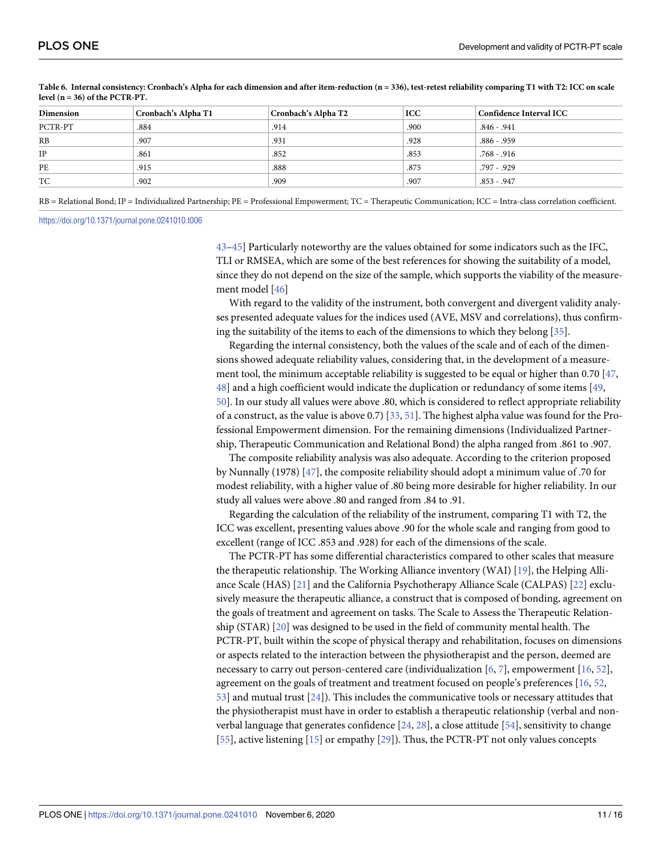| Dimension | Cronbach's Alpha T1 | Cronbach's Alpha T2 | <b>ICC</b> | Confidence Interval ICC |  |
|-----------|---------------------|---------------------|------------|-------------------------|--|
| PCTR-PT   | .884                | .914                | .900       | $.846 - .941$           |  |
| RB        | .907                | .931                | .928       | $.886 - .959$           |  |
| IP        | .861                | .852                | .853       | $.768 - .916$           |  |
| PE        | .915                | .888                | .875       | .797 - .929             |  |
| TC        | .902                | .909                | .907       | $.853 - .947$           |  |

<span id="page-10-0"></span>[Table](#page-9-0) 6. Internal consistency: Cronbach's Alpha for each dimension and after item-reduction (n = 336), test-retest reliability comparing T1 with T2: ICC on scale **level (n = 36) of the PCTR-PT.**

RB = Relational Bond; IP = Individualized Partnership; PE = Professional Empowerment; TC = Therapeutic Communication; ICC = Intra-class correlation coefficient.

<https://doi.org/10.1371/journal.pone.0241010.t006>

[43–45](#page-14-0)] Particularly noteworthy are the values obtained for some indicators such as the IFC, TLI or RMSEA, which are some of the best references for showing the suitability of a model, since they do not depend on the size of the sample, which supports the viability of the measurement model [[46](#page-14-0)]

With regard to the validity of the instrument, both convergent and divergent validity analyses presented adequate values for the indices used (AVE, MSV and correlations), thus confirming the suitability of the items to each of the dimensions to which they belong [\[35\]](#page-14-0).

Regarding the internal consistency, both the values of the scale and of each of the dimensions showed adequate reliability values, considering that, in the development of a measurement tool, the minimum acceptable reliability is suggested to be equal or higher than 0.70 [\[47,](#page-14-0) [48\]](#page-14-0) and a high coefficient would indicate the duplication or redundancy of some items [\[49,](#page-14-0) [50\]](#page-14-0). In our study all values were above .80, which is considered to reflect appropriate reliability of a construct, as the value is above 0.7) [\[33,](#page-14-0) [51\]](#page-14-0). The highest alpha value was found for the Professional Empowerment dimension. For the remaining dimensions (Individualized Partnership, Therapeutic Communication and Relational Bond) the alpha ranged from .861 to .907.

The composite reliability analysis was also adequate. According to the criterion proposed by Nunnally (1978) [[47](#page-14-0)], the composite reliability should adopt a minimum value of .70 for modest reliability, with a higher value of .80 being more desirable for higher reliability. In our study all values were above .80 and ranged from .84 to .91.

Regarding the calculation of the reliability of the instrument, comparing T1 with T2, the ICC was excellent, presenting values above .90 for the whole scale and ranging from good to excellent (range of ICC .853 and .928) for each of the dimensions of the scale.

The PCTR-PT has some differential characteristics compared to other scales that measure the therapeutic relationship. The Working Alliance inventory (WAI) [[19](#page-13-0)], the Helping Alliance Scale (HAS) [\[21\]](#page-13-0) and the California Psychotherapy Alliance Scale (CALPAS) [\[22\]](#page-13-0) exclusively measure the therapeutic alliance, a construct that is composed of bonding, agreement on the goals of treatment and agreement on tasks. The Scale to Assess the Therapeutic Relationship (STAR) [\[20\]](#page-13-0) was designed to be used in the field of community mental health. The PCTR-PT, built within the scope of physical therapy and rehabilitation, focuses on dimensions or aspects related to the interaction between the physiotherapist and the person, deemed are necessary to carry out person-centered care (individualization  $[6, 7]$  $[6, 7]$  $[6, 7]$  $[6, 7]$ , empowerment  $[16, 52]$  $[16, 52]$  $[16, 52]$  $[16, 52]$  $[16, 52]$ , agreement on the goals of treatment and treatment focused on people's preferences [\[16,](#page-13-0) [52,](#page-14-0) [53\]](#page-14-0) and mutual trust [\[24\]](#page-13-0)). This includes the communicative tools or necessary attitudes that the physiotherapist must have in order to establish a therapeutic relationship (verbal and nonverbal language that generates confidence [\[24,](#page-13-0) [28\]](#page-13-0), a close attitude [\[54\]](#page-14-0), sensitivity to change [\[55\]](#page-15-0), active listening [[15](#page-13-0)] or empathy [\[29\]](#page-13-0)). Thus, the PCTR-PT not only values concepts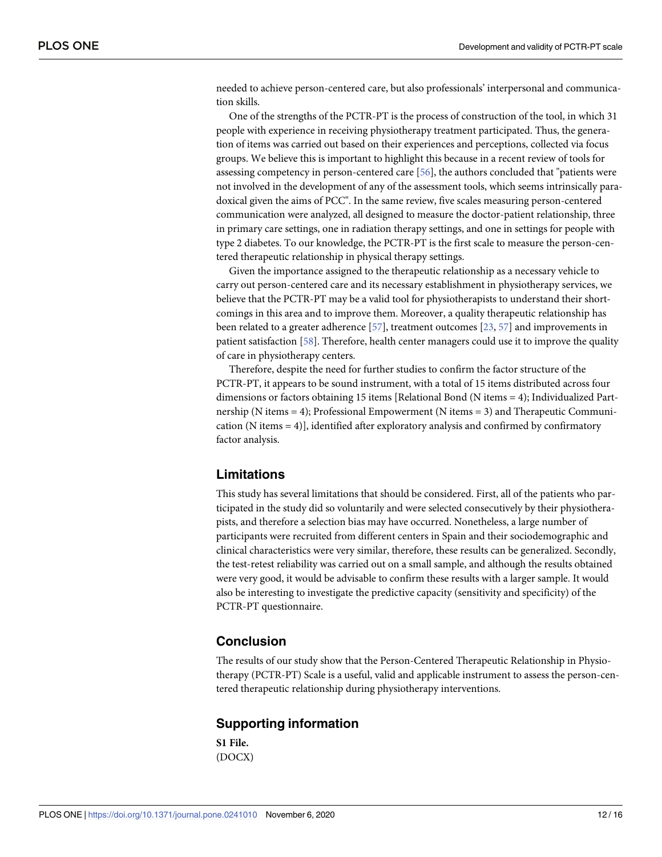<span id="page-11-0"></span>needed to achieve person-centered care, but also professionals' interpersonal and communication skills.

One of the strengths of the PCTR-PT is the process of construction of the tool, in which 31 people with experience in receiving physiotherapy treatment participated. Thus, the generation of items was carried out based on their experiences and perceptions, collected via focus groups. We believe this is important to highlight this because in a recent review of tools for assessing competency in person-centered care [[56](#page-15-0)], the authors concluded that "patients were not involved in the development of any of the assessment tools, which seems intrinsically paradoxical given the aims of PCC". In the same review, five scales measuring person-centered communication were analyzed, all designed to measure the doctor-patient relationship, three in primary care settings, one in radiation therapy settings, and one in settings for people with type 2 diabetes. To our knowledge, the PCTR-PT is the first scale to measure the person-centered therapeutic relationship in physical therapy settings.

Given the importance assigned to the therapeutic relationship as a necessary vehicle to carry out person-centered care and its necessary establishment in physiotherapy services, we believe that the PCTR-PT may be a valid tool for physiotherapists to understand their shortcomings in this area and to improve them. Moreover, a quality therapeutic relationship has been related to a greater adherence [\[57\]](#page-15-0), treatment outcomes [\[23,](#page-13-0) [57\]](#page-15-0) and improvements in patient satisfaction [[58](#page-15-0)]. Therefore, health center managers could use it to improve the quality of care in physiotherapy centers.

Therefore, despite the need for further studies to confirm the factor structure of the PCTR-PT, it appears to be sound instrument, with a total of 15 items distributed across four dimensions or factors obtaining 15 items [Relational Bond (N items = 4); Individualized Partnership (N items = 4); Professional Empowerment (N items = 3) and Therapeutic Communication (N items  $= 4$ ), identified after exploratory analysis and confirmed by confirmatory factor analysis.

#### **Limitations**

This study has several limitations that should be considered. First, all of the patients who participated in the study did so voluntarily and were selected consecutively by their physiotherapists, and therefore a selection bias may have occurred. Nonetheless, a large number of participants were recruited from different centers in Spain and their sociodemographic and clinical characteristics were very similar, therefore, these results can be generalized. Secondly, the test-retest reliability was carried out on a small sample, and although the results obtained were very good, it would be advisable to confirm these results with a larger sample. It would also be interesting to investigate the predictive capacity (sensitivity and specificity) of the PCTR-PT questionnaire.

#### **Conclusion**

The results of our study show that the Person-Centered Therapeutic Relationship in Physiotherapy (PCTR-PT) Scale is a useful, valid and applicable instrument to assess the person-centered therapeutic relationship during physiotherapy interventions.

#### **Supporting information**

**S1 [File.](http://www.plosone.org/article/fetchSingleRepresentation.action?uri=info:doi/10.1371/journal.pone.0241010.s001)** (DOCX)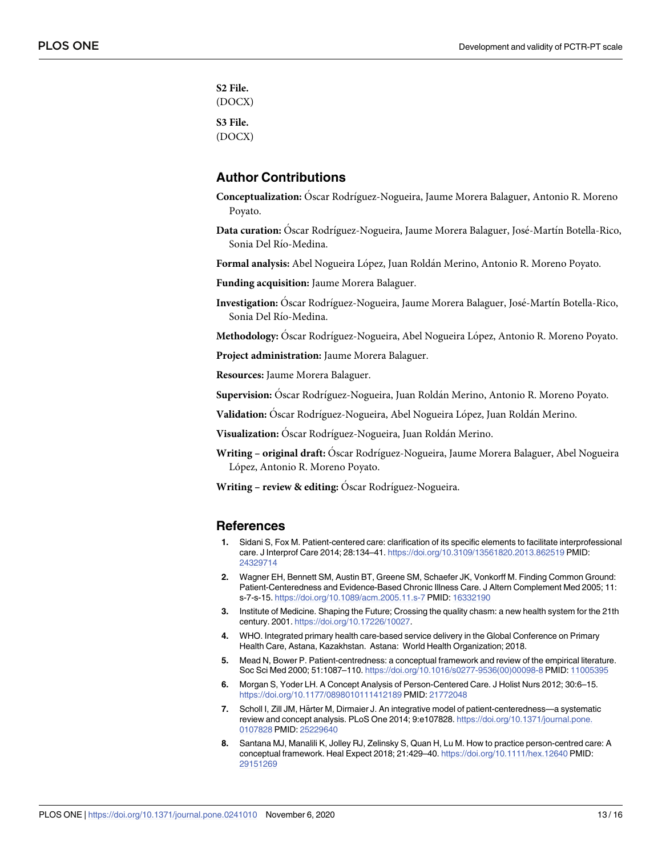<span id="page-12-0"></span>**S2 [File.](http://www.plosone.org/article/fetchSingleRepresentation.action?uri=info:doi/10.1371/journal.pone.0241010.s002)** (DOCX) **S3 [File.](http://www.plosone.org/article/fetchSingleRepresentation.action?uri=info:doi/10.1371/journal.pone.0241010.s003)** (DOCX)

#### **Author Contributions**

- **Conceptualization:** O´scar Rodrı´guez-Nogueira, Jaume Morera Balaguer, Antonio R. Moreno Poyato.
- Data curation: Óscar Rodríguez-Nogueira, Jaume Morera Balaguer, José-Martín Botella-Rico, Sonia Del Río-Medina.

**Formal analysis:** Abel Nogueira Lo´pez, Juan Rolda´n Merino, Antonio R. Moreno Poyato.

**Funding acquisition:** Jaume Morera Balaguer.

Investigation: Óscar Rodríguez-Nogueira, Jaume Morera Balaguer, José-Martín Botella-Rico, Sonia Del Río-Medina.

Methodology: Óscar Rodríguez-Nogueira, Abel Nogueira López, Antonio R. Moreno Poyato.

**Project administration:** Jaume Morera Balaguer.

**Resources:** Jaume Morera Balaguer.

Supervision: Óscar Rodríguez-Nogueira, Juan Roldán Merino, Antonio R. Moreno Poyato.

Validation: Óscar Rodríguez-Nogueira, Abel Nogueira López, Juan Roldán Merino.

Visualization: Óscar Rodríguez-Nogueira, Juan Roldán Merino.

**Writing – original draft:** O´scar Rodrı´guez-Nogueira, Jaume Morera Balaguer, Abel Nogueira López, Antonio R. Moreno Poyato.

**Writing – review & editing:** Oscar Rodríguez-Nogueira.

#### **References**

- **[1](#page-1-0).** Sidani S, Fox M. Patient-centered care: clarification of its specific elements to facilitate interprofessional care. J Interprof Care 2014; 28:134–41. <https://doi.org/10.3109/13561820.2013.862519> PMID: [24329714](http://www.ncbi.nlm.nih.gov/pubmed/24329714)
- **[2](#page-1-0).** Wagner EH, Bennett SM, Austin BT, Greene SM, Schaefer JK, Vonkorff M. Finding Common Ground: Patient-Centeredness and Evidence-Based Chronic Illness Care. J Altern Complement Med 2005; 11: s-7-s-15. <https://doi.org/10.1089/acm.2005.11.s-7> PMID: [16332190](http://www.ncbi.nlm.nih.gov/pubmed/16332190)
- **[3](#page-1-0).** Institute of Medicine. Shaping the Future; Crossing the quality chasm: a new health system for the 21th century. 2001. <https://doi.org/10.17226/10027>.
- **[4](#page-1-0).** WHO. Integrated primary health care-based service delivery in the Global Conference on Primary Health Care, Astana, Kazakhstan. Astana: World Health Organization; 2018.
- **[5](#page-1-0).** Mead N, Bower P. Patient-centredness: a conceptual framework and review of the empirical literature. Soc Sci Med 2000; 51:1087–110. [https://doi.org/10.1016/s0277-9536\(00\)00098-8](https://doi.org/10.1016/s0277-9536%2800%2900098-8) PMID: [11005395](http://www.ncbi.nlm.nih.gov/pubmed/11005395)
- **[6](#page-1-0).** Morgan S, Yoder LH. A Concept Analysis of Person-Centered Care. J Holist Nurs 2012; 30:6–15. <https://doi.org/10.1177/0898010111412189> PMID: [21772048](http://www.ncbi.nlm.nih.gov/pubmed/21772048)
- **[7](#page-1-0).** Scholl I, Zill JM, Härter M, Dirmaier J. An integrative model of patient-centeredness—a systematic review and concept analysis. PLoS One 2014; 9:e107828. [https://doi.org/10.1371/journal.pone.](https://doi.org/10.1371/journal.pone.0107828) [0107828](https://doi.org/10.1371/journal.pone.0107828) PMID: [25229640](http://www.ncbi.nlm.nih.gov/pubmed/25229640)
- **[8](#page-1-0).** Santana MJ, Manalili K, Jolley RJ, Zelinsky S, Quan H, Lu M. How to practice person-centred care: A conceptual framework. Heal Expect 2018; 21:429–40. <https://doi.org/10.1111/hex.12640> PMID: [29151269](http://www.ncbi.nlm.nih.gov/pubmed/29151269)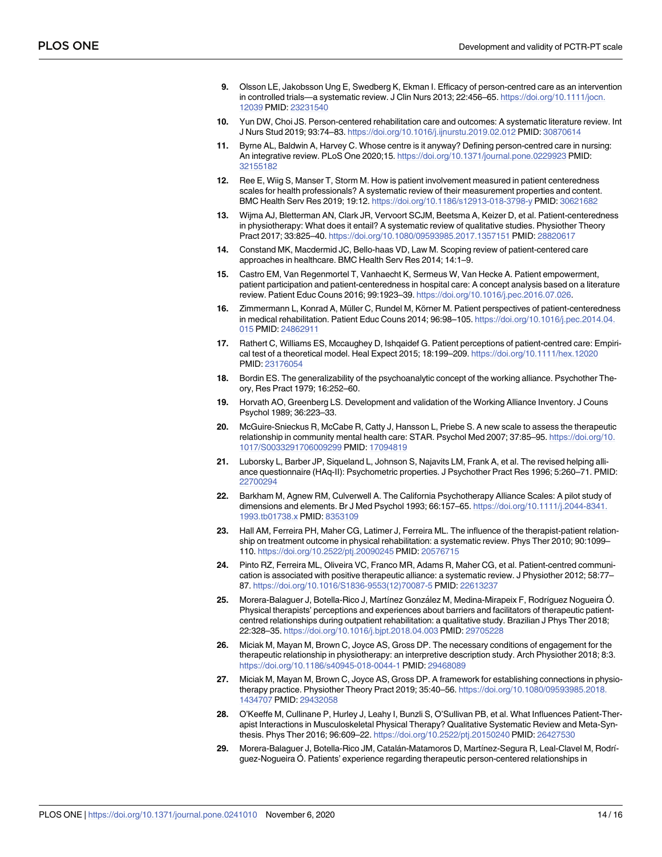- <span id="page-13-0"></span>**9.** Olsson LE, Jakobsson Ung E, Swedberg K, Ekman I. Efficacy of person-centred care as an intervention in controlled trials—a systematic review. J Clin Nurs 2013; 22:456–65. [https://doi.org/10.1111/jocn.](https://doi.org/10.1111/jocn.12039) [12039](https://doi.org/10.1111/jocn.12039) PMID: [23231540](http://www.ncbi.nlm.nih.gov/pubmed/23231540)
- **10.** Yun DW, Choi JS. Person-centered rehabilitation care and outcomes: A systematic literature review. Int J Nurs Stud 2019; 93:74–83. <https://doi.org/10.1016/j.ijnurstu.2019.02.012> PMID: [30870614](http://www.ncbi.nlm.nih.gov/pubmed/30870614)
- **[11](#page-1-0).** Byrne AL, Baldwin A, Harvey C. Whose centre is it anyway? Defining person-centred care in nursing: An integrative review. PLoS One 2020;15. <https://doi.org/10.1371/journal.pone.0229923> PMID: [32155182](http://www.ncbi.nlm.nih.gov/pubmed/32155182)
- **[12](#page-1-0).** Ree E, Wiig S, Manser T, Storm M. How is patient involvement measured in patient centeredness scales for health professionals? A systematic review of their measurement properties and content. BMC Health Serv Res 2019; 19:12. <https://doi.org/10.1186/s12913-018-3798-y> PMID: [30621682](http://www.ncbi.nlm.nih.gov/pubmed/30621682)
- **[13](#page-1-0).** Wijma AJ, Bletterman AN, Clark JR, Vervoort SCJM, Beetsma A, Keizer D, et al. Patient-centeredness in physiotherapy: What does it entail? A systematic review of qualitative studies. Physiother Theory Pract 2017; 33:825–40. <https://doi.org/10.1080/09593985.2017.1357151> PMID: [28820617](http://www.ncbi.nlm.nih.gov/pubmed/28820617)
- **14.** Constand MK, Macdermid JC, Bello-haas VD, Law M. Scoping review of patient-centered care approaches in healthcare. BMC Health Serv Res 2014; 14:1–9.
- **[15](#page-10-0).** Castro EM, Van Regenmortel T, Vanhaecht K, Sermeus W, Van Hecke A. Patient empowerment, patient participation and patient-centeredness in hospital care: A concept analysis based on a literature review. Patient Educ Couns 2016; 99:1923–39. <https://doi.org/10.1016/j.pec.2016.07.026>.
- [16](#page-10-0). Zimmermann L, Konrad A, Müller C, Rundel M, Körner M. Patient perspectives of patient-centeredness in medical rehabilitation. Patient Educ Couns 2014; 96:98–105. [https://doi.org/10.1016/j.pec.2014.04.](https://doi.org/10.1016/j.pec.2014.04.015) [015](https://doi.org/10.1016/j.pec.2014.04.015) PMID: [24862911](http://www.ncbi.nlm.nih.gov/pubmed/24862911)
- **[17](#page-2-0).** Rathert C, Williams ES, Mccaughey D, Ishqaidef G. Patient perceptions of patient-centred care: Empirical test of a theoretical model. Heal Expect 2015; 18:199–209. <https://doi.org/10.1111/hex.12020> PMID: [23176054](http://www.ncbi.nlm.nih.gov/pubmed/23176054)
- **[18](#page-2-0).** Bordin ES. The generalizability of the psychoanalytic concept of the working alliance. Psychother Theory, Res Pract 1979; 16:252–60.
- **[19](#page-2-0).** Horvath AO, Greenberg LS. Development and validation of the Working Alliance Inventory. J Couns Psychol 1989; 36:223–33.
- **[20](#page-2-0).** McGuire-Snieckus R, McCabe R, Catty J, Hansson L, Priebe S. A new scale to assess the therapeutic relationship in community mental health care: STAR. Psychol Med 2007; 37:85–95. [https://doi.org/10.](https://doi.org/10.1017/S0033291706009299) [1017/S0033291706009299](https://doi.org/10.1017/S0033291706009299) PMID: [17094819](http://www.ncbi.nlm.nih.gov/pubmed/17094819)
- **[21](#page-2-0).** Luborsky L, Barber JP, Siqueland L, Johnson S, Najavits LM, Frank A, et al. The revised helping alliance questionnaire (HAq-II): Psychometric properties. J Psychother Pract Res 1996; 5:260–71. PMID: [22700294](http://www.ncbi.nlm.nih.gov/pubmed/22700294)
- **[22](#page-2-0).** Barkham M, Agnew RM, Culverwell A. The California Psychotherapy Alliance Scales: A pilot study of dimensions and elements. Br J Med Psychol 1993; 66:157–65. [https://doi.org/10.1111/j.2044-8341.](https://doi.org/10.1111/j.2044-8341.1993.tb01738.x) [1993.tb01738.x](https://doi.org/10.1111/j.2044-8341.1993.tb01738.x) PMID: [8353109](http://www.ncbi.nlm.nih.gov/pubmed/8353109)
- **[23](#page-2-0).** Hall AM, Ferreira PH, Maher CG, Latimer J, Ferreira ML. The influence of the therapist-patient relationship on treatment outcome in physical rehabilitation: a systematic review. Phys Ther 2010; 90:1099– 110. <https://doi.org/10.2522/ptj.20090245> PMID: [20576715](http://www.ncbi.nlm.nih.gov/pubmed/20576715)
- **[24](#page-10-0).** Pinto RZ, Ferreira ML, Oliveira VC, Franco MR, Adams R, Maher CG, et al. Patient-centred communication is associated with positive therapeutic alliance: a systematic review. J Physiother 2012; 58:77– 87. [https://doi.org/10.1016/S1836-9553\(12\)70087-5](https://doi.org/10.1016/S1836-9553%2812%2970087-5) PMID: [22613237](http://www.ncbi.nlm.nih.gov/pubmed/22613237)
- [25](#page-2-0). Morera-Balaguer J, Botella-Rico J, Martínez González M, Medina-Mirapeix F, Rodríguez Nogueira Ó. Physical therapists' perceptions and experiences about barriers and facilitators of therapeutic patientcentred relationships during outpatient rehabilitation: a qualitative study. Brazilian J Phys Ther 2018; 22:328–35. <https://doi.org/10.1016/j.bjpt.2018.04.003> PMID: [29705228](http://www.ncbi.nlm.nih.gov/pubmed/29705228)
- **[26](#page-2-0).** Miciak M, Mayan M, Brown C, Joyce AS, Gross DP. The necessary conditions of engagement for the therapeutic relationship in physiotherapy: an interpretive description study. Arch Physiother 2018; 8:3. <https://doi.org/10.1186/s40945-018-0044-1> PMID: [29468089](http://www.ncbi.nlm.nih.gov/pubmed/29468089)
- **27.** Miciak M, Mayan M, Brown C, Joyce AS, Gross DP. A framework for establishing connections in physiotherapy practice. Physiother Theory Pract 2019; 35:40–56. [https://doi.org/10.1080/09593985.2018.](https://doi.org/10.1080/09593985.2018.1434707) [1434707](https://doi.org/10.1080/09593985.2018.1434707) PMID: [29432058](http://www.ncbi.nlm.nih.gov/pubmed/29432058)
- **[28](#page-10-0).** O'Keeffe M, Cullinane P, Hurley J, Leahy I, Bunzli S, O'Sullivan PB, et al. What Influences Patient-Therapist Interactions in Musculoskeletal Physical Therapy? Qualitative Systematic Review and Meta-Synthesis. Phys Ther 2016; 96:609–22. <https://doi.org/10.2522/ptj.20150240> PMID: [26427530](http://www.ncbi.nlm.nih.gov/pubmed/26427530)
- [29](#page-2-0). Morera-Balaguer J, Botella-Rico JM, Catalán-Matamoros D, Martínez-Segura R, Leal-Clavel M, Rodríguez-Nogueira O´ . Patients' experience regarding therapeutic person-centered relationships in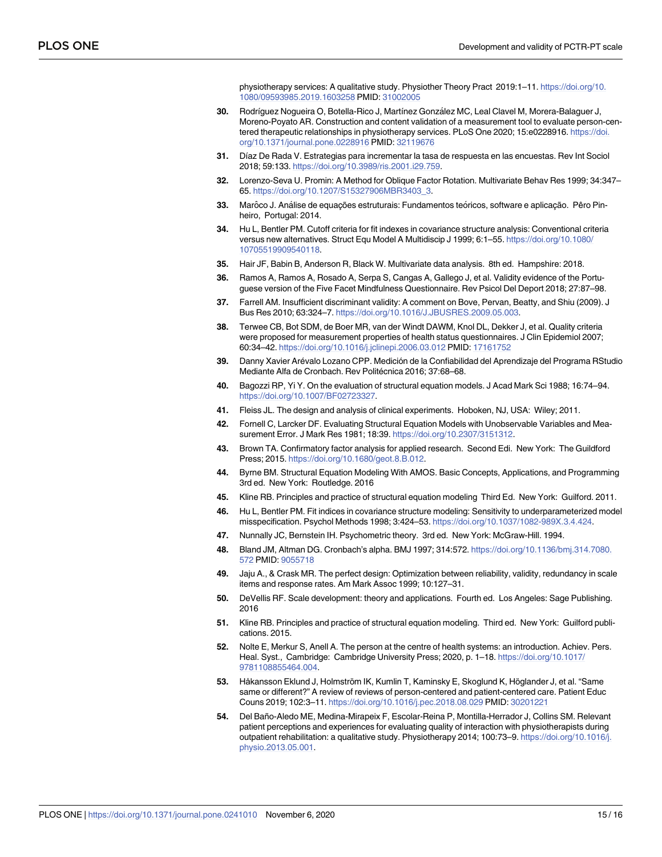physiotherapy services: A qualitative study. Physiother Theory Pract 2019:1–11. [https://doi.org/10.](https://doi.org/10.1080/09593985.2019.1603258) [1080/09593985.2019.1603258](https://doi.org/10.1080/09593985.2019.1603258) PMID: [31002005](http://www.ncbi.nlm.nih.gov/pubmed/31002005)

- <span id="page-14-0"></span>**[30](#page-3-0).** Rodríguez Nogueira O, Botella-Rico J, Martínez González MC, Leal Clavel M, Morera-Balaguer J, Moreno-Poyato AR. Construction and content validation of a measurement tool to evaluate person-centered therapeutic relationships in physiotherapy services. PLoS One 2020; 15:e0228916. [https://doi.](https://doi.org/10.1371/journal.pone.0228916) [org/10.1371/journal.pone.0228916](https://doi.org/10.1371/journal.pone.0228916) PMID: [32119676](http://www.ncbi.nlm.nih.gov/pubmed/32119676)
- **[31](#page-3-0).** Dı´az De Rada V. Estrategias para incrementar la tasa de respuesta en las encuestas. Rev Int Sociol 2018; 59:133. <https://doi.org/10.3989/ris.2001.i29.759>.
- **[32](#page-4-0).** Lorenzo-Seva U. Promin: A Method for Oblique Factor Rotation. Multivariate Behav Res 1999; 34:347– 65. [https://doi.org/10.1207/S15327906MBR3403\\_3.](https://doi.org/10.1207/S15327906MBR3403_3)
- **[33](#page-4-0).** Marôco J. Análise de equacões estruturais: Fundamentos teóricos, software e aplicacão. Pêro Pinheiro, Portugal: 2014.
- **[34](#page-4-0).** Hu L, Bentler PM. Cutoff criteria for fit indexes in covariance structure analysis: Conventional criteria versus new alternatives. Struct Equ Model A Multidiscip J 1999; 6:1–55. [https://doi.org/10.1080/](https://doi.org/10.1080/10705519909540118) [10705519909540118.](https://doi.org/10.1080/10705519909540118)
- **[35](#page-4-0).** Hair JF, Babin B, Anderson R, Black W. Multivariate data analysis. 8th ed. Hampshire: 2018.
- **[36](#page-4-0).** Ramos A, Ramos A, Rosado A, Serpa S, Cangas A, Gallego J, et al. Validity evidence of the Portuguese version of the Five Facet Mindfulness Questionnaire. Rev Psicol Del Deport 2018; 27:87–98.
- **[37](#page-4-0).** Farrell AM. Insufficient discriminant validity: A comment on Bove, Pervan, Beatty, and Shiu (2009). J Bus Res 2010; 63:324–7. [https://doi.org/10.1016/J.JBUSRES.2009.05.003.](https://doi.org/10.1016/J.JBUSRES.2009.05.003)
- **[38](#page-4-0).** Terwee CB, Bot SDM, de Boer MR, van der Windt DAWM, Knol DL, Dekker J, et al. Quality criteria were proposed for measurement properties of health status questionnaires. J Clin Epidemiol 2007; 60:34–42. <https://doi.org/10.1016/j.jclinepi.2006.03.012> PMID: [17161752](http://www.ncbi.nlm.nih.gov/pubmed/17161752)
- **[39](#page-4-0).** Danny Xavier Are´valo Lozano CPP. Medicio´n de la Confiabilidad del Aprendizaje del Programa RStudio Mediante Alfa de Cronbach. Rev Politécnica 2016; 37:68-68.
- **[40](#page-4-0).** Bagozzi RP, Yi Y. On the evaluation of structural equation models. J Acad Mark Sci 1988; 16:74–94. <https://doi.org/10.1007/BF02723327>.
- **[41](#page-4-0).** Fleiss JL. The design and analysis of clinical experiments. Hoboken, NJ, USA: Wiley; 2011.
- **[42](#page-7-0).** Fornell C, Larcker DF. Evaluating Structural Equation Models with Unobservable Variables and Measurement Error. J Mark Res 1981; 18:39. <https://doi.org/10.2307/3151312>.
- **[43](#page-7-0).** Brown TA. Confirmatory factor analysis for applied research. Second Edi. New York: The Guildford Press; 2015. <https://doi.org/10.1680/geot.8.B.012>.
- **44.** Byrne BM. Structural Equation Modeling With AMOS. Basic Concepts, Applications, and Programming 3rd ed. New York: Routledge. 2016
- **[45](#page-9-0).** Kline RB. Principles and practice of structural equation modeling Third Ed. New York: Guilford. 2011.
- **[46](#page-10-0).** Hu L, Bentler PM. Fit indices in covariance structure modeling: Sensitivity to underparameterized model misspecification. Psychol Methods 1998; 3:424–53. [https://doi.org/10.1037/1082-989X.3.4.424.](https://doi.org/10.1037/1082-989X.3.4.424)
- **[47](#page-10-0).** Nunnally JC, Bernstein IH. Psychometric theory. 3rd ed. New York: McGraw-Hill. 1994.
- **[48](#page-10-0).** Bland JM, Altman DG. Cronbach's alpha. BMJ 1997; 314:572. [https://doi.org/10.1136/bmj.314.7080.](https://doi.org/10.1136/bmj.314.7080.572) [572](https://doi.org/10.1136/bmj.314.7080.572) PMID: [9055718](http://www.ncbi.nlm.nih.gov/pubmed/9055718)
- **[49](#page-10-0).** Jaju A., & Crask MR. The perfect design: Optimization between reliability, validity, redundancy in scale items and response rates. Am Mark Assoc 1999; 10:127–31.
- **[50](#page-10-0).** DeVellis RF. Scale development: theory and applications. Fourth ed. Los Angeles: Sage Publishing. 2016
- **[51](#page-10-0).** Kline RB. Principles and practice of structural equation modeling. Third ed. New York: Guilford publications. 2015.
- **[52](#page-10-0).** Nolte E, Merkur S, Anell A. The person at the centre of health systems: an introduction. Achiev. Pers. Heal. Syst., Cambridge: Cambridge University Press; 2020, p. 1–18. [https://doi.org/10.1017/](https://doi.org/10.1017/9781108855464.004) [9781108855464.004](https://doi.org/10.1017/9781108855464.004).
- **[53](#page-10-0).** Håkansson Eklund J, Holmström IK, Kumlin T, Kaminsky E, Skoglund K, Höglander J, et al. "Same same or different?" A review of reviews of person-centered and patient-centered care. Patient Educ Couns 2019; 102:3–11. <https://doi.org/10.1016/j.pec.2018.08.029> PMID: [30201221](http://www.ncbi.nlm.nih.gov/pubmed/30201221)
- **[54](#page-10-0).** Del Baño-Aledo ME, Medina-Mirapeix F, Escolar-Reina P, Montilla-Herrador J, Collins SM. Relevant patient perceptions and experiences for evaluating quality of interaction with physiotherapists during outpatient rehabilitation: a qualitative study. Physiotherapy 2014; 100:73–9. [https://doi.org/10.1016/j.](https://doi.org/10.1016/j.physio.2013.05.001) [physio.2013.05.001](https://doi.org/10.1016/j.physio.2013.05.001).